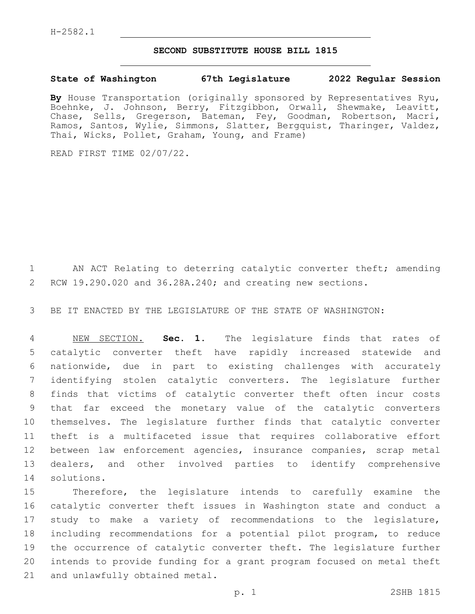## **SECOND SUBSTITUTE HOUSE BILL 1815**

## **State of Washington 67th Legislature 2022 Regular Session**

**By** House Transportation (originally sponsored by Representatives Ryu, Boehnke, J. Johnson, Berry, Fitzgibbon, Orwall, Shewmake, Leavitt, Chase, Sells, Gregerson, Bateman, Fey, Goodman, Robertson, Macri, Ramos, Santos, Wylie, Simmons, Slatter, Bergquist, Tharinger, Valdez, Thai, Wicks, Pollet, Graham, Young, and Frame)

READ FIRST TIME 02/07/22.

1 AN ACT Relating to deterring catalytic converter theft; amending RCW 19.290.020 and 36.28A.240; and creating new sections.

BE IT ENACTED BY THE LEGISLATURE OF THE STATE OF WASHINGTON:

 NEW SECTION. **Sec. 1.** The legislature finds that rates of catalytic converter theft have rapidly increased statewide and nationwide, due in part to existing challenges with accurately identifying stolen catalytic converters. The legislature further finds that victims of catalytic converter theft often incur costs that far exceed the monetary value of the catalytic converters themselves. The legislature further finds that catalytic converter theft is a multifaceted issue that requires collaborative effort between law enforcement agencies, insurance companies, scrap metal dealers, and other involved parties to identify comprehensive solutions.

 Therefore, the legislature intends to carefully examine the catalytic converter theft issues in Washington state and conduct a study to make a variety of recommendations to the legislature, including recommendations for a potential pilot program, to reduce the occurrence of catalytic converter theft. The legislature further intends to provide funding for a grant program focused on metal theft 21 and unlawfully obtained metal.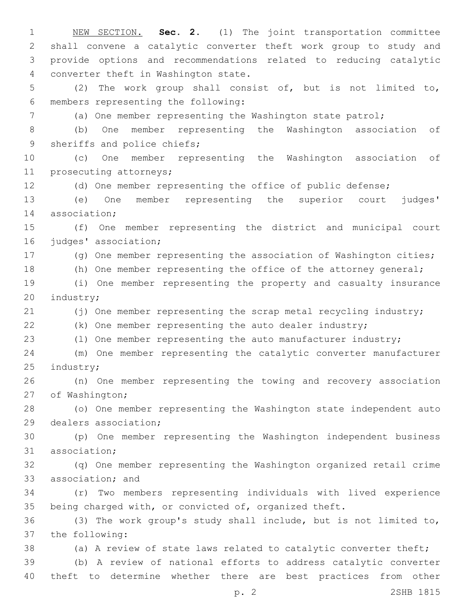NEW SECTION. **Sec. 2.** (1) The joint transportation committee shall convene a catalytic converter theft work group to study and provide options and recommendations related to reducing catalytic converter theft in Washington state. (2) The work group shall consist of, but is not limited to, members representing the following:6 (a) One member representing the Washington state patrol; (b) One member representing the Washington association of 9 sheriffs and police chiefs; (c) One member representing the Washington association of 11 prosecuting attorneys; (d) One member representing the office of public defense; (e) One member representing the superior court judges' 14 association; (f) One member representing the district and municipal court 16 judges' association; (g) One member representing the association of Washington cities; (h) One member representing the office of the attorney general; (i) One member representing the property and casualty insurance 20 industry; 21 (j) One member representing the scrap metal recycling industry; (k) One member representing the auto dealer industry; (l) One member representing the auto manufacturer industry; (m) One member representing the catalytic converter manufacturer 25 industry; (n) One member representing the towing and recovery association 27 of Washington; (o) One member representing the Washington state independent auto 29 dealers association; (p) One member representing the Washington independent business 31 association; (q) One member representing the Washington organized retail crime 33 association; and (r) Two members representing individuals with lived experience being charged with, or convicted of, organized theft. (3) The work group's study shall include, but is not limited to, 37 the following: (a) A review of state laws related to catalytic converter theft; (b) A review of national efforts to address catalytic converter theft to determine whether there are best practices from other

p. 2 2SHB 1815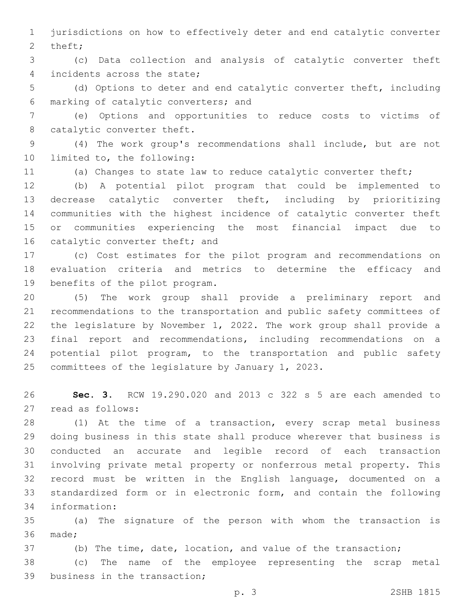jurisdictions on how to effectively deter and end catalytic converter 2 theft;

 (c) Data collection and analysis of catalytic converter theft 4 incidents across the state;

 (d) Options to deter and end catalytic converter theft, including marking of catalytic converters; and6

 (e) Options and opportunities to reduce costs to victims of 8 catalytic converter theft.

 (4) The work group's recommendations shall include, but are not 10 limited to, the following:

(a) Changes to state law to reduce catalytic converter theft;

 (b) A potential pilot program that could be implemented to decrease catalytic converter theft, including by prioritizing communities with the highest incidence of catalytic converter theft or communities experiencing the most financial impact due to 16 catalytic converter theft; and

 (c) Cost estimates for the pilot program and recommendations on evaluation criteria and metrics to determine the efficacy and 19 benefits of the pilot program.

 (5) The work group shall provide a preliminary report and recommendations to the transportation and public safety committees of the legislature by November 1, 2022. The work group shall provide a final report and recommendations, including recommendations on a potential pilot program, to the transportation and public safety 25 committees of the legislature by January 1, 2023.

 **Sec. 3.** RCW 19.290.020 and 2013 c 322 s 5 are each amended to 27 read as follows:

 (1) At the time of a transaction, every scrap metal business doing business in this state shall produce wherever that business is conducted an accurate and legible record of each transaction involving private metal property or nonferrous metal property. This record must be written in the English language, documented on a standardized form or in electronic form, and contain the following information:34

 (a) The signature of the person with whom the transaction is 36 made;

(b) The time, date, location, and value of the transaction;

 (c) The name of the employee representing the scrap metal 39 business in the transaction;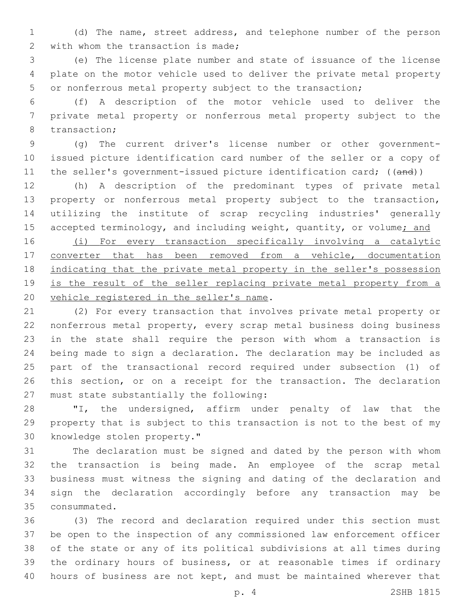(d) The name, street address, and telephone number of the person 2 with whom the transaction is made;

 (e) The license plate number and state of issuance of the license plate on the motor vehicle used to deliver the private metal property or nonferrous metal property subject to the transaction;

 (f) A description of the motor vehicle used to deliver the private metal property or nonferrous metal property subject to the 8 transaction;

 (g) The current driver's license number or other government- issued picture identification card number of the seller or a copy of 11 the seller's government-issued picture identification card; ((and))

 (h) A description of the predominant types of private metal property or nonferrous metal property subject to the transaction, utilizing the institute of scrap recycling industries' generally 15 accepted terminology, and including weight, quantity, or volume; and

 (i) For every transaction specifically involving a catalytic converter that has been removed from a vehicle, documentation 18 indicating that the private metal property in the seller's possession 19 is the result of the seller replacing private metal property from a 20 vehicle registered in the seller's name.

 (2) For every transaction that involves private metal property or nonferrous metal property, every scrap metal business doing business in the state shall require the person with whom a transaction is being made to sign a declaration. The declaration may be included as part of the transactional record required under subsection (1) of this section, or on a receipt for the transaction. The declaration 27 must state substantially the following:

 "I, the undersigned, affirm under penalty of law that the property that is subject to this transaction is not to the best of my 30 knowledge stolen property."

 The declaration must be signed and dated by the person with whom the transaction is being made. An employee of the scrap metal business must witness the signing and dating of the declaration and sign the declaration accordingly before any transaction may be consummated.35

 (3) The record and declaration required under this section must be open to the inspection of any commissioned law enforcement officer of the state or any of its political subdivisions at all times during the ordinary hours of business, or at reasonable times if ordinary hours of business are not kept, and must be maintained wherever that